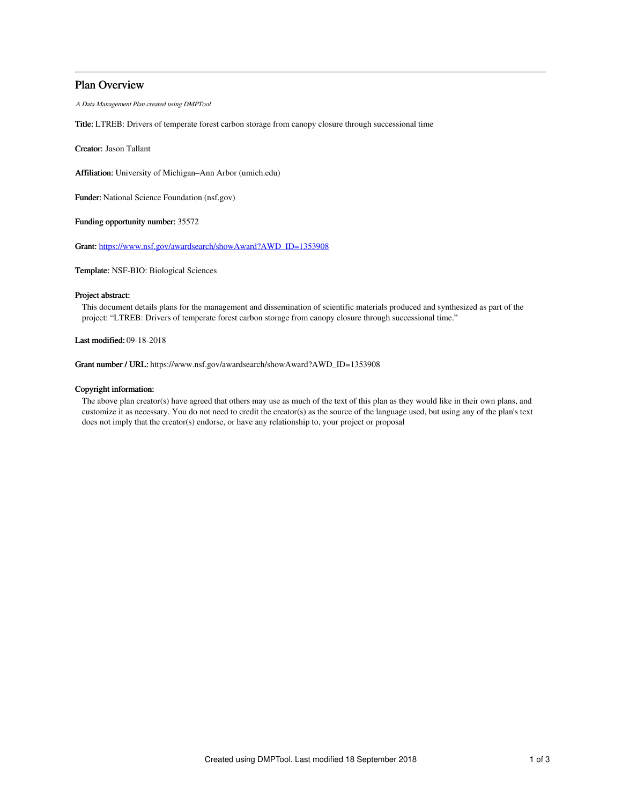# Plan Overview

A Data Management Plan created using DMPTool

Title: LTREB: Drivers of temperate forest carbon storage from canopy closure through successional time

Creator: Jason Tallant

Affiliation: University of Michigan–Ann Arbor (umich.edu)

Funder: National Science Foundation (nsf.gov)

Funding opportunity number: 35572

Grant: [https://www.nsf.gov/awardsearch/showAward?AWD\\_ID=1353908](https://www.nsf.gov/awardsearch/showAward?AWD_ID=1353908)

Template: NSF-BIO: Biological Sciences

# Project abstract:

This document details plans for the management and dissemination of scientific materials produced and synthesized as part of the project: "LTREB: Drivers of temperate forest carbon storage from canopy closure through successional time."

Last modified: 09-18-2018

Grant number / URL: https://www.nsf.gov/awardsearch/showAward?AWD\_ID=1353908

## Copyright information:

The above plan creator(s) have agreed that others may use as much of the text of this plan as they would like in their own plans, and customize it as necessary. You do not need to credit the creator(s) as the source of the language used, but using any of the plan's text does not imply that the creator(s) endorse, or have any relationship to, your project or proposal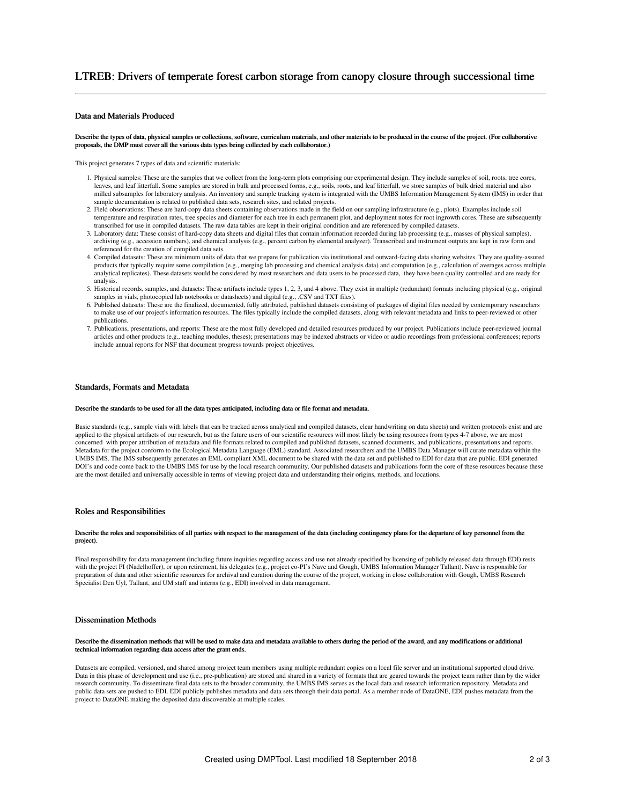# Data and Materials Produced

Describe the types of data, physical samples or collections, software, curriculum materials, and other materials to be produced in the course of the project. (For collaborative proposals, the DMP must cover all the various data types being collected by each collaborator.)

This project generates 7 types of data and scientific materials:

- 1. Physical samples: These are the samples that we collect from the long-term plots comprising our experimental design. They include samples of soil, roots, tree cores, leaves, and leaf litterfall. Some samples are stored in bulk and processed forms, e.g., soils, roots, and leaf litterfall, we store samples of bulk dried material and also milled subsamples for laboratory analysis. An inventory and sample tracking system is integrated with the UMBS Information Management System (IMS) in order that sample documentation is related to published data sets, research sites, and related projects.
- 2. Field observations: These are hard-copy data sheets containing observations made in the field on our sampling infrastructure (e.g., plots). Examples include soil temperature and respiration rates, tree species and diameter for each tree in each permanent plot, and deployment notes for root ingrowth cores. These are subsequently transcribed for use in compiled datasets. The raw data tables are kept in their original condition and are referenced by compiled datasets.
- 3. Laboratory data: These consist of hard-copy data sheets and digital files that contain information recorded during lab processing (e.g., masses of physical samples), archiving (e.g., accession numbers), and chemical analysis (e.g., percent carbon by elemental analyzer). Transcribed and instrument outputs are kept in raw form and referenced for the creation of compiled data sets.
- 4. Compiled datasets: These are minimum units of data that we prepare for publication via institutional and outward-facing data sharing websites. They are quality-assured products that typically require some compilation (e.g., merging lab processing and chemical analysis data) and computation (e.g., calculation of averages across multiple analytical replicates). These datasets would be considered by most researchers and data users to be processed data, they have been quality controlled and are ready for analysis.
- 5. Historical records, samples, and datasets: These artifacts include types 1, 2, 3, and 4 above. They exist in multiple (redundant) formats including physical (e.g., original samples in vials, photocopied lab notebooks or datasheets) and digital (e.g., .CSV and TXT files).
- 6. Published datasets: These are the finalized, documented, fully attributed, published datasets consisting of packages of digital files needed by contemporary researchers to make use of our project's information resources. The files typically include the compiled datasets, along with relevant metadata and links to peer-reviewed or other publications.
- 7. Publications, presentations, and reports: These are the most fully developed and detailed resources produced by our project. Publications include peer-reviewed journal articles and other products (e.g., teaching modules, theses); presentations may be indexed abstracts or video or audio recordings from professional conferences; reports include annual reports for NSF that document progress towards project objectives.

#### Standards, Formats and Metadata

#### Describe the standards to be used for all the data types anticipated, including data or file format and metadata.

Basic standards (e.g., sample vials with labels that can be tracked across analytical and compiled datasets, clear handwriting on data sheets) and written protocols exist and are applied to the physical artifacts of our research, but as the future users of our scientific resources will most likely be using resources from types 4-7 above, we are most concerned with proper attribution of metadata and file formats related to compiled and published datasets, scanned documents, and publications, presentations and reports. Metadata for the project conform to the Ecological Metadata Language (EML) standard. Associated researchers and the UMBS Data Manager will curate metadata within the UMBS IMS. The IMS subsequently generates an EML compliant XML document to be shared with the data set and published to EDI for data that are public. EDI generated DOI's and code come back to the UMBS IMS for use by the local research community. Our published datasets and publications form the core of these resources because these are the most detailed and universally accessible in terms of viewing project data and understanding their origins, methods, and locations.

#### Roles and Responsibilities

#### Describe the roles and responsibilities of all parties with respect to the management of the data (including contingency plans for the departure of key personnel from the project).

Final responsibility for data management (including future inquiries regarding access and use not already specified by licensing of publicly released data through EDI) rests with the project PI (Nadelhoffer), or upon retirement, his delegates (e.g., project co-PI's Nave and Gough, UMBS Information Manager Tallant). Nave is responsible for preparation of data and other scientific resources for archival and curation during the course of the project, working in close collaboration with Gough, UMBS Research Specialist Den Uyl, Tallant, and UM staff and interns (e.g., EDI) involved in data management.

## Dissemination Methods

#### Describe the dissemination methods that will be used to make data and metadata available to others during the period of the award, and any modifications or additional technical information regarding data access after the grant ends.

Datasets are compiled, versioned, and shared among project team members using multiple redundant copies on a local file server and an institutional supported cloud drive. Data in this phase of development and use (i.e., pre-publication) are stored and shared in a variety of formats that are geared towards the project team rather than by the wider research community. To disseminate final data sets to the broader community, the UMBS IMS serves as the local data and research information repository. Metadata and public data sets are pushed to EDI. EDI publicly publishes metadata and data sets through their data portal. As a member node of DataONE, EDI pushes metadata from the project to DataONE making the deposited data discoverable at multiple scales.